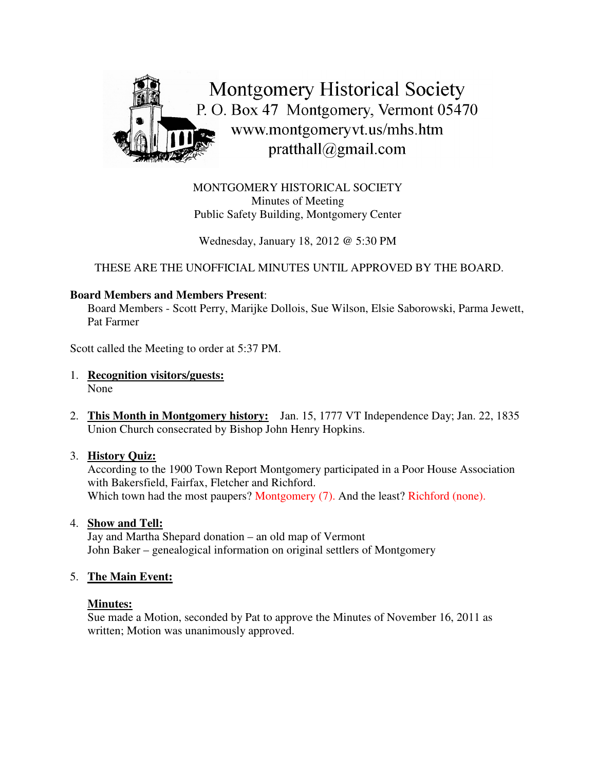

MONTGOMERY HISTORICAL SOCIETY Minutes of Meeting Public Safety Building, Montgomery Center

Wednesday, January 18, 2012 @ 5:30 PM

THESE ARE THE UNOFFICIAL MINUTES UNTIL APPROVED BY THE BOARD.

## **Board Members and Members Present**:

Board Members - Scott Perry, Marijke Dollois, Sue Wilson, Elsie Saborowski, Parma Jewett, Pat Farmer

Scott called the Meeting to order at 5:37 PM.

- 1. **Recognition visitors/guests:** None
- 2. **This Month in Montgomery history:** Jan. 15, 1777 VT Independence Day; Jan. 22, 1835 Union Church consecrated by Bishop John Henry Hopkins.

#### 3. **History Quiz:**

According to the 1900 Town Report Montgomery participated in a Poor House Association with Bakersfield, Fairfax, Fletcher and Richford. Which town had the most paupers? Montgomery (7). And the least? Richford (none).

4. **Show and Tell:**

Jay and Martha Shepard donation – an old map of Vermont John Baker – genealogical information on original settlers of Montgomery

#### 5. **The Main Event:**

#### **Minutes:**

Sue made a Motion, seconded by Pat to approve the Minutes of November 16, 2011 as written; Motion was unanimously approved.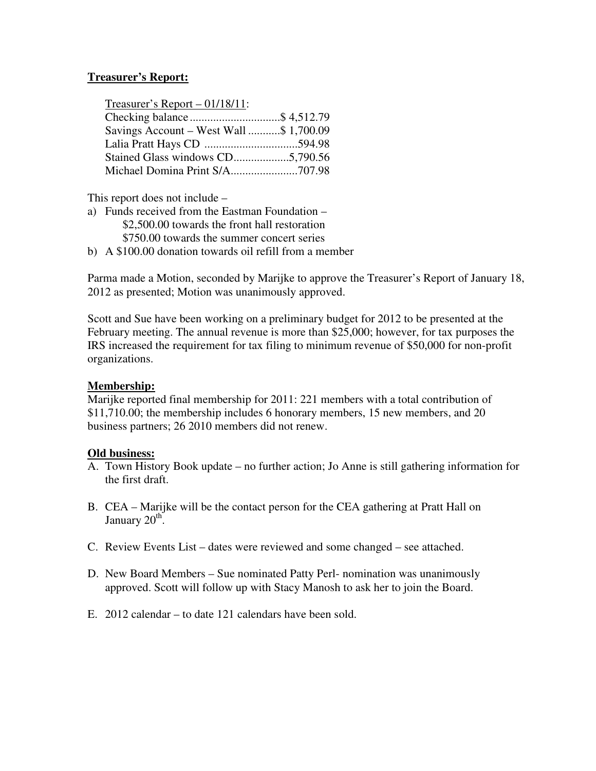## **Treasurer's Report:**

|--|

| Checking balance\$ 4,512.79             |  |
|-----------------------------------------|--|
| Savings Account – West Wall \$ 1,700.09 |  |
|                                         |  |
| Stained Glass windows CD5,790.56        |  |
|                                         |  |

This report does not include –

a) Funds received from the Eastman Foundation – \$2,500.00 towards the front hall restoration \$750.00 towards the summer concert series b) A \$100.00 donation towards oil refill from a member

Parma made a Motion, seconded by Marijke to approve the Treasurer's Report of January 18, 2012 as presented; Motion was unanimously approved.

Scott and Sue have been working on a preliminary budget for 2012 to be presented at the February meeting. The annual revenue is more than \$25,000; however, for tax purposes the IRS increased the requirement for tax filing to minimum revenue of \$50,000 for non-profit organizations.

#### **Membership:**

Marijke reported final membership for 2011: 221 members with a total contribution of \$11,710.00; the membership includes 6 honorary members, 15 new members, and 20 business partners; 26 2010 members did not renew.

#### **Old business:**

- A. Town History Book update no further action; Jo Anne is still gathering information for the first draft.
- B. CEA Marijke will be the contact person for the CEA gathering at Pratt Hall on January 20<sup>th</sup>.
- C. Review Events List dates were reviewed and some changed see attached.
- D. New Board Members Sue nominated Patty Perl- nomination was unanimously approved. Scott will follow up with Stacy Manosh to ask her to join the Board.
- E. 2012 calendar to date 121 calendars have been sold.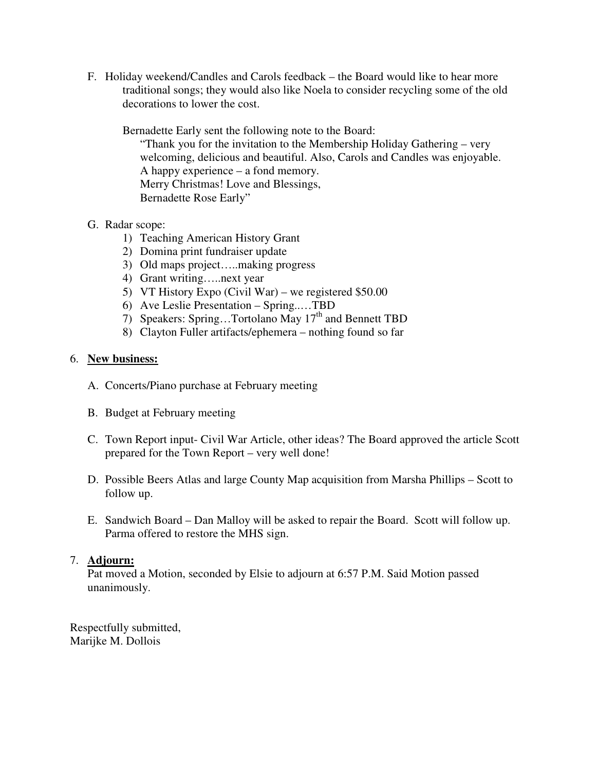F. Holiday weekend/Candles and Carols feedback – the Board would like to hear more traditional songs; they would also like Noela to consider recycling some of the old decorations to lower the cost.

Bernadette Early sent the following note to the Board:

"Thank you for the invitation to the Membership Holiday Gathering – very welcoming, delicious and beautiful. Also, Carols and Candles was enjoyable. A happy experience – a fond memory. Merry Christmas! Love and Blessings, Bernadette Rose Early"

- G. Radar scope:
	- 1) Teaching American History Grant
	- 2) Domina print fundraiser update
	- 3) Old maps project…..making progress
	- 4) Grant writing…..next year
	- 5) VT History Expo (Civil War) we registered \$50.00
	- 6) Ave Leslie Presentation Spring..…TBD
	- 7) Speakers: Spring...Tortolano May 17<sup>th</sup> and Bennett TBD
	- 8) Clayton Fuller artifacts/ephemera nothing found so far

# 6. **New business:**

- A. Concerts/Piano purchase at February meeting
- B. Budget at February meeting
- C. Town Report input- Civil War Article, other ideas? The Board approved the article Scott prepared for the Town Report – very well done!
- D. Possible Beers Atlas and large County Map acquisition from Marsha Phillips Scott to follow up.
- E. Sandwich Board Dan Malloy will be asked to repair the Board. Scott will follow up. Parma offered to restore the MHS sign.

# 7. **Adjourn:**

Pat moved a Motion, seconded by Elsie to adjourn at 6:57 P.M. Said Motion passed unanimously.

Respectfully submitted, Marijke M. Dollois